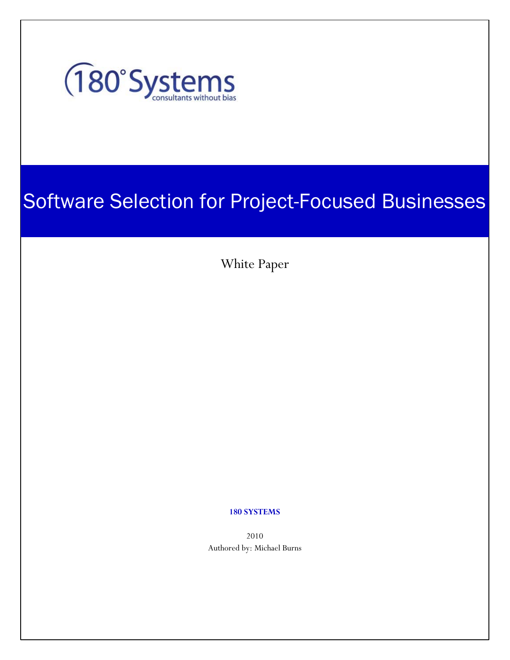

# Software Selection for Project-Focused Businesses

White Paper

#### **180 SYSTEMS**

2010 Authored by: Michael Burns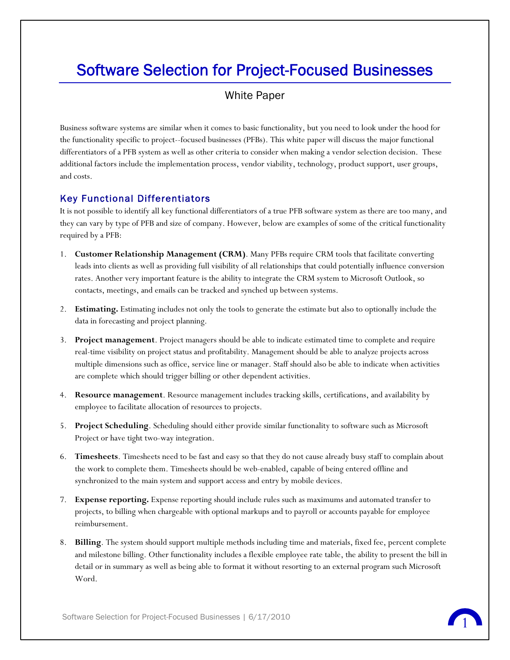## Software Selection for Project-Focused Businesses

### White Paper

Business software systems are similar when it comes to basic functionality, but you need to look under the hood for the functionality specific to project--focused businesses (PFBs). This white paper will discuss the major functional differentiators of a PFB system as well as other criteria to consider when making a vendor selection decision. These additional factors include the implementation process, vendor viability, technology, product support, user groups, and costs.

#### Key Functional Differentiators

It is not possible to identify all key functional differentiators of a true PFB software system as there are too many, and they can vary by type of PFB and size of company. However, below are examples of some of the critical functionality required by a PFB:

- 1. **Customer Relationship Management (CRM)**. Many PFBs require CRM tools that facilitate converting leads into clients as well as providing full visibility of all relationships that could potentially influence conversion rates. Another very important feature is the ability to integrate the CRM system to Microsoft Outlook, so contacts, meetings, and emails can be tracked and synched up between systems.
- 2. **Estimating.** Estimating includes not only the tools to generate the estimate but also to optionally include the data in forecasting and project planning.
- 3. **Project management**. Project managers should be able to indicate estimated time to complete and require real-time visibility on project status and profitability. Management should be able to analyze projects across multiple dimensions such as office, service line or manager. Staff should also be able to indicate when activities are complete which should trigger billing or other dependent activities.
- 4. **Resource management**. Resource management includes tracking skills, certifications, and availability by employee to facilitate allocation of resources to projects.
- 5. **Project Scheduling**. Scheduling should either provide similar functionality to software such as Microsoft Project or have tight two-way integration.
- 6. **Timesheets**. Timesheets need to be fast and easy so that they do not cause already busy staff to complain about the work to complete them. Timesheets should be web-enabled, capable of being entered offline and synchronized to the main system and support access and entry by mobile devices.
- 7. **Expense reporting.** Expense reporting should include rules such as maximums and automated transfer to projects, to billing when chargeable with optional markups and to payroll or accounts payable for employee reimbursement.
- 8. **Billing**. The system should support multiple methods including time and materials, fixed fee, percent complete and milestone billing. Other functionality includes a flexible employee rate table, the ability to present the bill in detail or in summary as well as being able to format it without resorting to an external program such Microsoft Word.

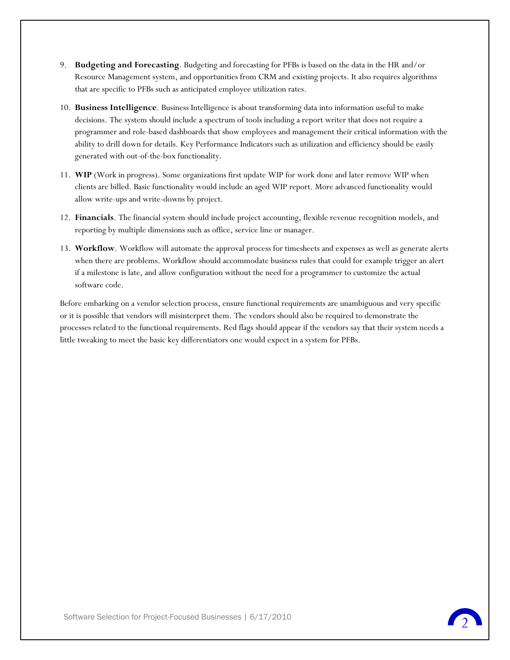- 9. **Budgeting and Forecasting**. Budgeting and forecasting for PFBs is based on the data in the HR and/or Resource Management system, and opportunities from CRM and existing projects. It also requires algorithms that are specific to PFBs such as anticipated employee utilization rates.
- 10. **Business Intelligence**. Business Intelligence is about transforming data into information useful to make decisions. The system should include a spectrum of tools including a report writer that does not require a programmer and role-based dashboards that show employees and management their critical information with the ability to drill down for details. Key Performance Indicators such as utilization and efficiency should be easily generated with out-of-the-box functionality.
- 11. **WIP** (Work in progress). Some organizations first update WIP for work done and later remove WIP when clients are billed. Basic functionality would include an aged WIP report. More advanced functionality would allow write-ups and write-downs by project.
- 12. **Financials**. The financial system should include project accounting, flexible revenue recognition models, and reporting by multiple dimensions such as office, service line or manager.
- 13. **Workflow**. Workflow will automate the approval process for timesheets and expenses as well as generate alerts when there are problems. Workflow should accommodate business rules that could for example trigger an alert if a milestone is late, and allow configuration without the need for a programmer to customize the actual software code.

Before embarking on a vendor selection process, ensure functional requirements are unambiguous and very specific or it is possible that vendors will misinterpret them. The vendors should also be required to demonstrate the processes related to the functional requirements. Red flags should appear if the vendors say that their system needs a little tweaking to meet the basic key differentiators one would expect in a system for PFBs.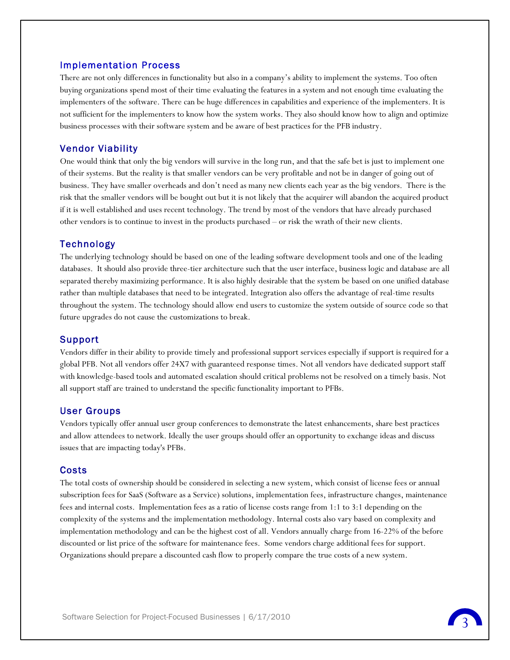#### Implementation Process

There are not only differences in functionality but also in a company's ability to implement the systems. Too often buying organizations spend most of their time evaluating the features in a system and not enough time evaluating the implementers of the software. There can be huge differences in capabilities and experience of the implementers. It is not sufficient for the implementers to know how the system works. They also should know how to align and optimize business processes with their software system and be aware of best practices for the PFB industry.

#### Vendor Viability

One would think that only the big vendors will survive in the long run, and that the safe bet is just to implement one of their systems. But the reality is that smaller vendors can be very profitable and not be in danger of going out of business. They have smaller overheads and don't need as many new clients each year as the big vendors. There is the risk that the smaller vendors will be bought out but it is not likely that the acquirer will abandon the acquired product if it is well established and uses recent technology. The trend by most of the vendors that have already purchased other vendors is to continue to invest in the products purchased – or risk the wrath of their new clients.

#### Technology

The underlying technology should be based on one of the leading software development tools and one of the leading databases. It should also provide three-tier architecture such that the user interface, business logic and database are all separated thereby maximizing performance. It is also highly desirable that the system be based on one unified database rather than multiple databases that need to be integrated. Integration also offers the advantage of real-time results throughout the system. The technology should allow end users to customize the system outside of source code so that future upgrades do not cause the customizations to break.

#### Support

Vendors differ in their ability to provide timely and professional support services especially if support is required for a global PFB. Not all vendors offer 24X7 with guaranteed response times. Not all vendors have dedicated support staff with knowledge-based tools and automated escalation should critical problems not be resolved on a timely basis. Not all support staff are trained to understand the specific functionality important to PFBs.

#### User Groups

Vendors typically offer annual user group conferences to demonstrate the latest enhancements, share best practices and allow attendees to network. Ideally the user groups should offer an opportunity to exchange ideas and discuss issues that are impacting today's PFBs.

#### Costs

The total costs of ownership should be considered in selecting a new system, which consist of license fees or annual subscription fees for SaaS (Software as a Service) solutions, implementation fees, infrastructure changes, maintenance fees and internal costs. Implementation fees as a ratio of license costs range from 1:1 to 3:1 depending on the complexity of the systems and the implementation methodology. Internal costs also vary based on complexity and implementation methodology and can be the highest cost of all. Vendors annually charge from 16-22% of the before discounted or list price of the software for maintenance fees. Some vendors charge additional fees for support. Organizations should prepare a discounted cash flow to properly compare the true costs of a new system.